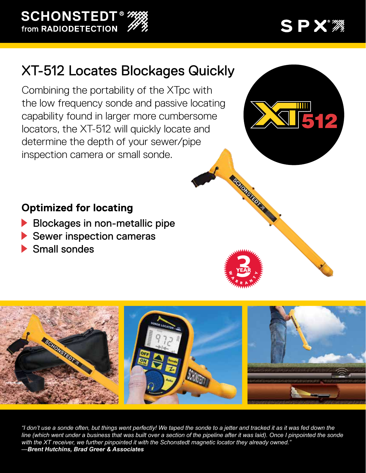**SCHONSTEDT®** from RADIODETECTION

## SPX\*\*\*

## XT-512 Locates Blockages Quickly

Combining the portability of the XTpc with the low frequency sonde and passive locating capability found in larger more cumbersome locators, the XT-512 will quickly locate and determine the depth of your sewer/pipe inspection camera or small sonde.



**Retrospective Ave** 

## **Optimized for locating**

- Blockages in non-metallic pipe
- Sewer inspection cameras
- Small sondes



*"I don't use a sonde often, but things went perfectly! We taped the sonde to a jetter and tracked it as it was fed down the line (which went under a business that was built over a section of the pipeline after it was laid). Once I pinpointed the sonde with the XT receiver, we further pinpointed it with the Schonstedt magnetic locator they already owned." —Brent Hutchins, Brad Greer & Associates*